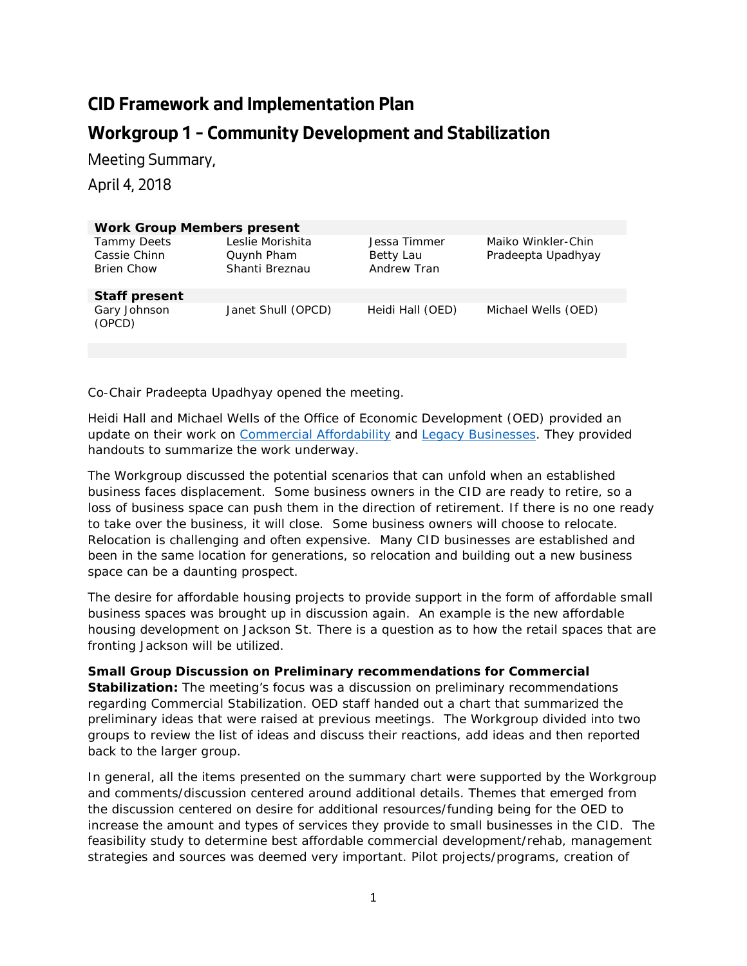## **CID Framework and Implementation Plan Workgroup 1 – Community Development and Stabilization**

Meeting Summary,

April 4, 2018

| <b>Work Group Members present</b>                       |                                                  |                                          |                                          |
|---------------------------------------------------------|--------------------------------------------------|------------------------------------------|------------------------------------------|
| <b>Tammy Deets</b><br>Cassie Chinn<br><b>Brien Chow</b> | Leslie Morishita<br>Quynh Pham<br>Shanti Breznau | Jessa Timmer<br>Betty Lau<br>Andrew Tran | Maiko Winkler-Chin<br>Pradeepta Upadhyay |
| <b>Staff present</b>                                    |                                                  |                                          |                                          |
| Gary Johnson<br>(OPCD)                                  | Janet Shull (OPCD)                               | Heidi Hall (OED)                         | Michael Wells (OED)                      |

Co-Chair Pradeepta Upadhyay opened the meeting.

Heidi Hall and Michael Wells of the Office of Economic Development (OED) provided an update on their work on [Commercial Affordability](http://www.seattle.gov/economicdevelopment/about-us/our-work/commercial-affordability) and [Legacy Businesses.](http://www.seattle.gov/economicdevelopment/about-us/our-work/legacy-business-study) They provided handouts to summarize the work underway.

The Workgroup discussed the potential scenarios that can unfold when an established business faces displacement. Some business owners in the CID are ready to retire, so a loss of business space can push them in the direction of retirement. If there is no one ready to take over the business, it will close. Some business owners will choose to relocate. Relocation is challenging and often expensive. Many CID businesses are established and been in the same location for generations, so relocation and building out a new business space can be a daunting prospect.

The desire for affordable housing projects to provide support in the form of affordable small business spaces was brought up in discussion again. An example is the new affordable housing development on Jackson St. There is a question as to how the retail spaces that are fronting Jackson will be utilized.

**Small Group Discussion on Preliminary recommendations for Commercial Stabilization:** The meeting's focus was a discussion on preliminary recommendations regarding Commercial Stabilization. OED staff handed out a chart that summarized the preliminary ideas that were raised at previous meetings. The Workgroup divided into two groups to review the list of ideas and discuss their reactions, add ideas and then reported back to the larger group.

In general, all the items presented on the summary chart were supported by the Workgroup and comments/discussion centered around additional details. Themes that emerged from the discussion centered on desire for additional resources/funding being for the OED to increase the amount and types of services they provide to small businesses in the CID. The feasibility study to determine best affordable commercial development/rehab, management strategies and sources was deemed very important. Pilot projects/programs, creation of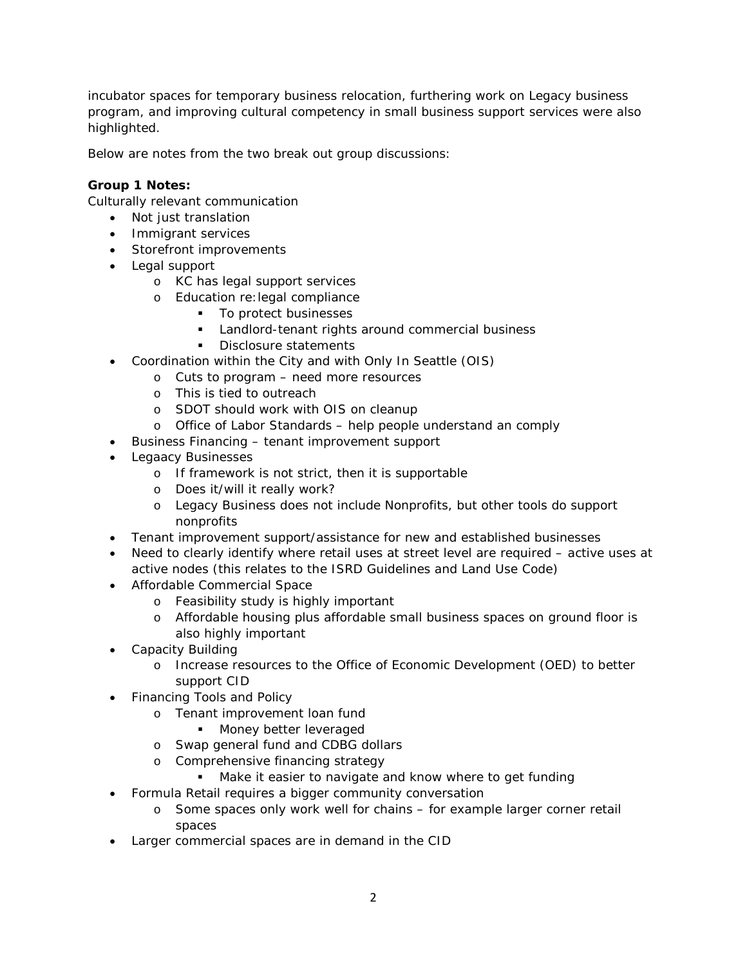incubator spaces for temporary business relocation, furthering work on Legacy business program, and improving cultural competency in small business support services were also highlighted.

Below are notes from the two break out group discussions:

## **Group 1 Notes:**

Culturally relevant communication

- Not just translation
- Immigrant services
- Storefront improvements
- Legal support
	- o KC has legal support services
	- o Education re:legal compliance
		- To protect businesses
		- **Landlord-tenant rights around commercial business**
		- Disclosure statements
- Coordination within the City and with Only In Seattle (OIS)
	- o Cuts to program need more resources
		- o This is tied to outreach
		- o SDOT should work with OIS on cleanup
		- o Office of Labor Standards help people understand an comply
- Business Financing tenant improvement support
- Legaacy Businesses
	- o If framework is not strict, then it is supportable
	- o Does it/will it really work?
	- o Legacy Business does not include Nonprofits, but other tools do support nonprofits
- Tenant improvement support/assistance for new and established businesses
- Need to clearly identify where retail uses at street level are required active uses at active nodes (this relates to the ISRD Guidelines and Land Use Code)
- Affordable Commercial Space
	- o Feasibility study is highly important
	- o Affordable housing plus affordable small business spaces on ground floor is also highly important
- Capacity Building
	- o Increase resources to the Office of Economic Development (OED) to better support CID
- Financing Tools and Policy
	- o Tenant improvement loan fund
		- **Money better leveraged**
	- o Swap general fund and CDBG dollars
	- o Comprehensive financing strategy
		- **Make it easier to navigate and know where to get funding**
- Formula Retail requires a bigger community conversation
	- o Some spaces only work well for chains for example larger corner retail spaces
- Larger commercial spaces are in demand in the CID